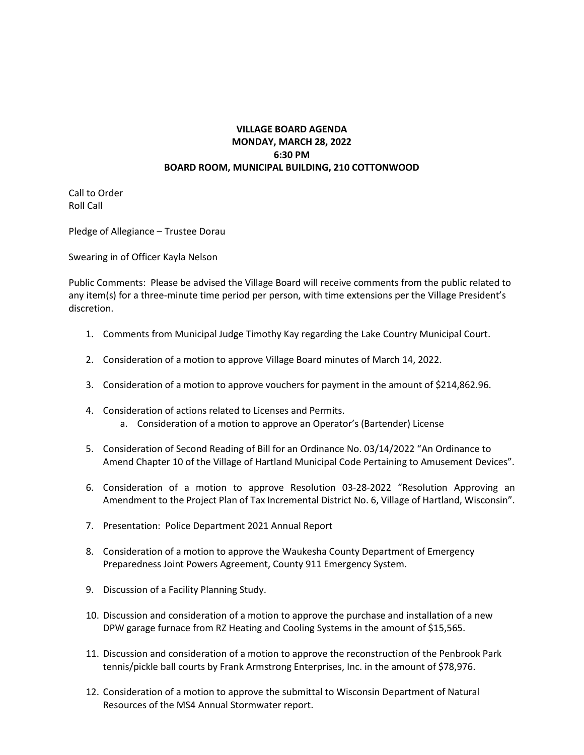## **VILLAGE BOARD AGENDA MONDAY, MARCH 28, 2022 6:30 PM BOARD ROOM, MUNICIPAL BUILDING, 210 COTTONWOOD**

Call to Order Roll Call

Pledge of Allegiance – Trustee Dorau

Swearing in of Officer Kayla Nelson

Public Comments: Please be advised the Village Board will receive comments from the public related to any item(s) for a three-minute time period per person, with time extensions per the Village President's discretion.

- 1. Comments from Municipal Judge Timothy Kay regarding the Lake Country Municipal Court.
- 2. Consideration of a motion to approve Village Board minutes of March 14, 2022.
- 3. Consideration of a motion to approve vouchers for payment in the amount of \$214,862.96.
- 4. Consideration of actions related to Licenses and Permits. a. Consideration of a motion to approve an Operator's (Bartender) License
- 5. Consideration of Second Reading of Bill for an Ordinance No. 03/14/2022 "An Ordinance to Amend Chapter 10 of the Village of Hartland Municipal Code Pertaining to Amusement Devices".
- 6. Consideration of a motion to approve Resolution 03-28-2022 "Resolution Approving an Amendment to the Project Plan of Tax Incremental District No. 6, Village of Hartland, Wisconsin".
- 7. Presentation: Police Department 2021 Annual Report
- 8. Consideration of a motion to approve the Waukesha County Department of Emergency Preparedness Joint Powers Agreement, County 911 Emergency System.
- 9. Discussion of a Facility Planning Study.
- 10. Discussion and consideration of a motion to approve the purchase and installation of a new DPW garage furnace from RZ Heating and Cooling Systems in the amount of \$15,565.
- 11. Discussion and consideration of a motion to approve the reconstruction of the Penbrook Park tennis/pickle ball courts by Frank Armstrong Enterprises, Inc. in the amount of \$78,976.
- 12. Consideration of a motion to approve the submittal to Wisconsin Department of Natural Resources of the MS4 Annual Stormwater report.